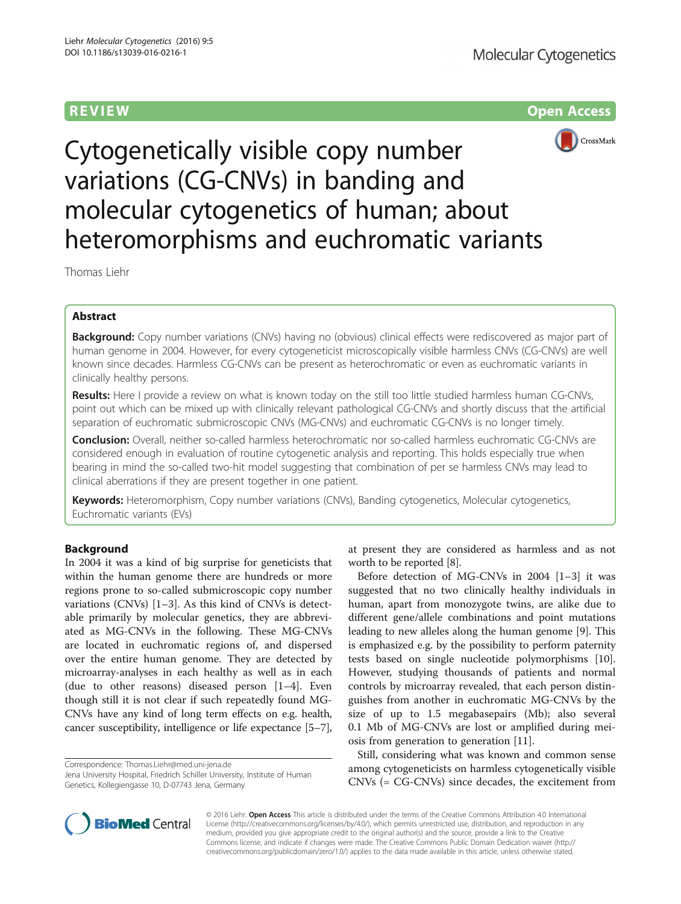R EVI EW Open Access



Cytogenetically visible copy number variations (CG-CNVs) in banding and molecular cytogenetics of human; about heteromorphisms and euchromatic variants

Thomas Liehr

# Abstract

Background: Copy number variations (CNVs) having no (obvious) clinical effects were rediscovered as major part of human genome in 2004. However, for every cytogeneticist microscopically visible harmless CNVs (CG-CNVs) are well known since decades. Harmless CG-CNVs can be present as heterochromatic or even as euchromatic variants in clinically healthy persons.

Results: Here I provide a review on what is known today on the still too little studied harmless human CG-CNVs, point out which can be mixed up with clinically relevant pathological CG-CNVs and shortly discuss that the artificial separation of euchromatic submicroscopic CNVs (MG-CNVs) and euchromatic CG-CNVs is no longer timely.

Conclusion: Overall, neither so-called harmless heterochromatic nor so-called harmless euchromatic CG-CNVs are considered enough in evaluation of routine cytogenetic analysis and reporting. This holds especially true when bearing in mind the so-called two-hit model suggesting that combination of per se harmless CNVs may lead to clinical aberrations if they are present together in one patient.

Keywords: Heteromorphism, Copy number variations (CNVs), Banding cytogenetics, Molecular cytogenetics, Euchromatic variants (EVs)

# Background

In 2004 it was a kind of big surprise for geneticists that within the human genome there are hundreds or more regions prone to so-called submicroscopic copy number variations (CNVs) [\[1](#page-6-0)–[3](#page-6-0)]. As this kind of CNVs is detectable primarily by molecular genetics, they are abbreviated as MG-CNVs in the following. These MG-CNVs are located in euchromatic regions of, and dispersed over the entire human genome. They are detected by microarray-analyses in each healthy as well as in each (due to other reasons) diseased person [\[1](#page-6-0)–[4\]](#page-6-0). Even though still it is not clear if such repeatedly found MG-CNVs have any kind of long term effects on e.g. health, cancer susceptibility, intelligence or life expectance [[5](#page-6-0)–[7](#page-6-0)],

Correspondence: [Thomas.Liehr@med.uni-jena.de](mailto:Thomas.Liehr@med.uni-jena.de)

Jena University Hospital, Friedrich Schiller University, Institute of Human Genetics, Kollegiengasse 10, D-07743 Jena, Germany

at present they are considered as harmless and as not worth to be reported [[8](#page-6-0)].

Before detection of MG-CNVs in 2004 [\[1](#page-6-0)–[3\]](#page-6-0) it was suggested that no two clinically healthy individuals in human, apart from monozygote twins, are alike due to different gene/allele combinations and point mutations leading to new alleles along the human genome [\[9](#page-6-0)]. This is emphasized e.g. by the possibility to perform paternity tests based on single nucleotide polymorphisms [\[10](#page-6-0)]. However, studying thousands of patients and normal controls by microarray revealed, that each person distinguishes from another in euchromatic MG-CNVs by the size of up to 1.5 megabasepairs (Mb); also several 0.1 Mb of MG-CNVs are lost or amplified during meiosis from generation to generation [\[11](#page-6-0)].

Still, considering what was known and common sense among cytogeneticists on harmless cytogenetically visible CNVs (= CG-CNVs) since decades, the excitement from



© 2016 Liehr. Open Access This article is distributed under the terms of the Creative Commons Attribution 4.0 International License ([http://creativecommons.org/licenses/by/4.0/\)](http://creativecommons.org/licenses/by/4.0/), which permits unrestricted use, distribution, and reproduction in any medium, provided you give appropriate credit to the original author(s) and the source, provide a link to the Creative Commons license, and indicate if changes were made. The Creative Commons Public Domain Dedication waiver ([http://](http://creativecommons.org/publicdomain/zero/1.0/) [creativecommons.org/publicdomain/zero/1.0/\)](http://creativecommons.org/publicdomain/zero/1.0/) applies to the data made available in this article, unless otherwise stated.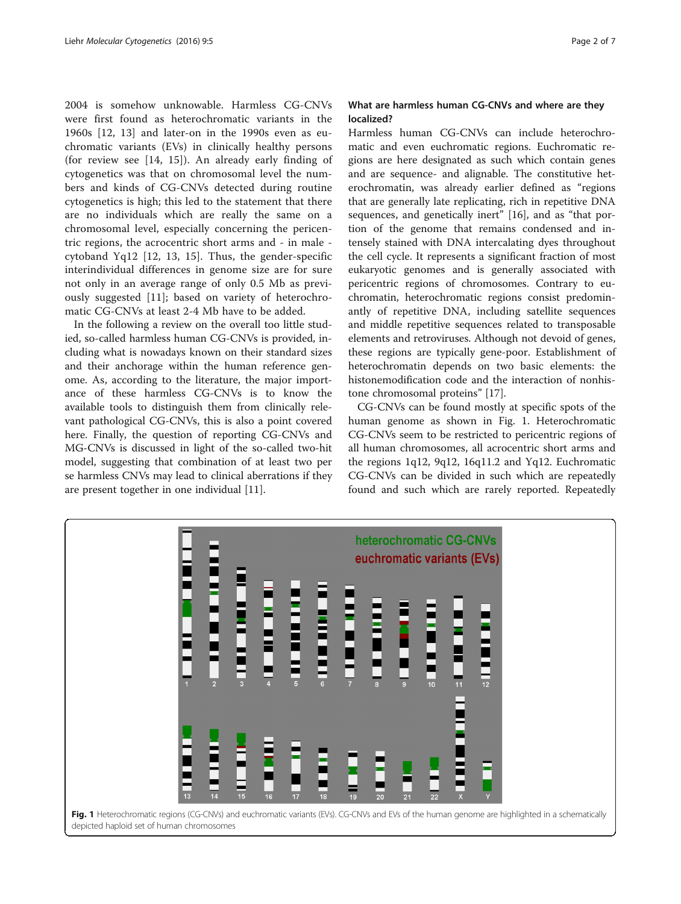<span id="page-1-0"></span>2004 is somehow unknowable. Harmless CG-CNVs were first found as heterochromatic variants in the 1960s [\[12](#page-6-0), [13](#page-6-0)] and later-on in the 1990s even as euchromatic variants (EVs) in clinically healthy persons (for review see [[14](#page-6-0), [15](#page-6-0)]). An already early finding of cytogenetics was that on chromosomal level the numbers and kinds of CG-CNVs detected during routine cytogenetics is high; this led to the statement that there are no individuals which are really the same on a chromosomal level, especially concerning the pericentric regions, the acrocentric short arms and - in male cytoband Yq12 [\[12](#page-6-0), [13](#page-6-0), [15\]](#page-6-0). Thus, the gender-specific interindividual differences in genome size are for sure not only in an average range of only 0.5 Mb as previously suggested [[11\]](#page-6-0); based on variety of heterochromatic CG-CNVs at least 2-4 Mb have to be added.

In the following a review on the overall too little studied, so-called harmless human CG-CNVs is provided, including what is nowadays known on their standard sizes and their anchorage within the human reference genome. As, according to the literature, the major importance of these harmless CG-CNVs is to know the available tools to distinguish them from clinically relevant pathological CG-CNVs, this is also a point covered here. Finally, the question of reporting CG-CNVs and MG-CNVs is discussed in light of the so-called two-hit model, suggesting that combination of at least two per se harmless CNVs may lead to clinical aberrations if they are present together in one individual [\[11\]](#page-6-0).

# What are harmless human CG-CNVs and where are they localized?

Harmless human CG-CNVs can include heterochromatic and even euchromatic regions. Euchromatic regions are here designated as such which contain genes and are sequence- and alignable. The constitutive heterochromatin, was already earlier defined as "regions that are generally late replicating, rich in repetitive DNA sequences, and genetically inert" [[16](#page-6-0)], and as "that portion of the genome that remains condensed and intensely stained with DNA intercalating dyes throughout the cell cycle. It represents a significant fraction of most eukaryotic genomes and is generally associated with pericentric regions of chromosomes. Contrary to euchromatin, heterochromatic regions consist predominantly of repetitive DNA, including satellite sequences and middle repetitive sequences related to transposable elements and retroviruses. Although not devoid of genes, these regions are typically gene-poor. Establishment of heterochromatin depends on two basic elements: the histonemodification code and the interaction of nonhistone chromosomal proteins" [[17](#page-6-0)].

CG-CNVs can be found mostly at specific spots of the human genome as shown in Fig. 1. Heterochromatic CG-CNVs seem to be restricted to pericentric regions of all human chromosomes, all acrocentric short arms and the regions 1q12, 9q12, 16q11.2 and Yq12. Euchromatic CG-CNVs can be divided in such which are repeatedly found and such which are rarely reported. Repeatedly

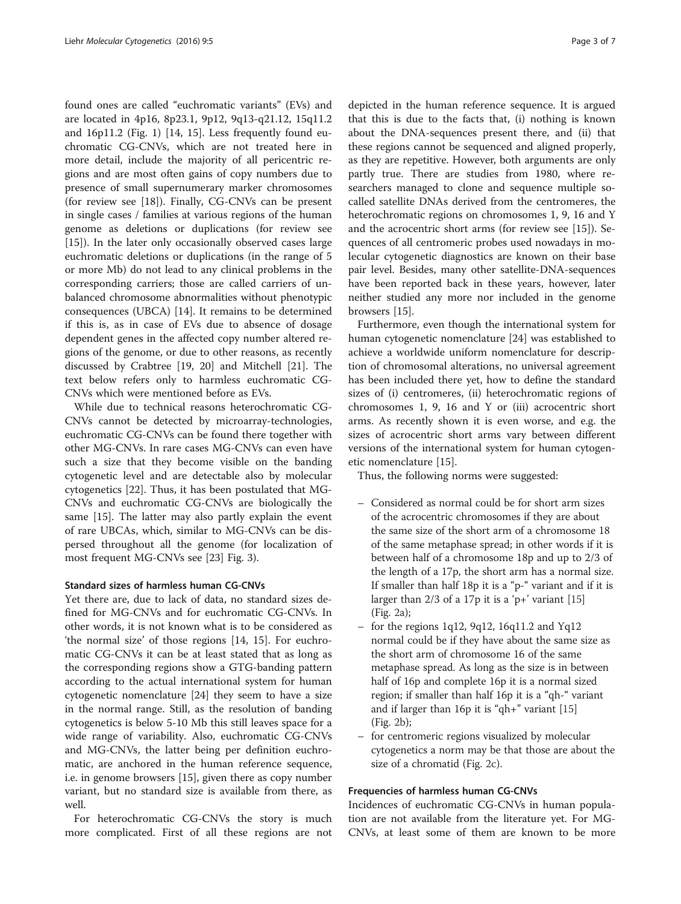found ones are called "euchromatic variants" (EVs) and are located in 4p16, 8p23.1, 9p12, 9q13-q21.12, 15q11.2 and 16p11.2 (Fig. [1\)](#page-1-0) [\[14, 15\]](#page-6-0). Less frequently found euchromatic CG-CNVs, which are not treated here in more detail, include the majority of all pericentric regions and are most often gains of copy numbers due to presence of small supernumerary marker chromosomes (for review see [\[18](#page-6-0)]). Finally, CG-CNVs can be present in single cases / families at various regions of the human genome as deletions or duplications (for review see [[15\]](#page-6-0)). In the later only occasionally observed cases large euchromatic deletions or duplications (in the range of 5 or more Mb) do not lead to any clinical problems in the corresponding carriers; those are called carriers of unbalanced chromosome abnormalities without phenotypic consequences (UBCA) [[14\]](#page-6-0). It remains to be determined if this is, as in case of EVs due to absence of dosage dependent genes in the affected copy number altered regions of the genome, or due to other reasons, as recently discussed by Crabtree [[19, 20](#page-6-0)] and Mitchell [\[21](#page-6-0)]. The text below refers only to harmless euchromatic CG-CNVs which were mentioned before as EVs.

While due to technical reasons heterochromatic CG-CNVs cannot be detected by microarray-technologies, euchromatic CG-CNVs can be found there together with other MG-CNVs. In rare cases MG-CNVs can even have such a size that they become visible on the banding cytogenetic level and are detectable also by molecular cytogenetics [[22\]](#page-6-0). Thus, it has been postulated that MG-CNVs and euchromatic CG-CNVs are biologically the same [[15\]](#page-6-0). The latter may also partly explain the event of rare UBCAs, which, similar to MG-CNVs can be dispersed throughout all the genome (for localization of most frequent MG-CNVs see [\[23\]](#page-6-0) Fig. [3](#page-4-0)).

# Standard sizes of harmless human CG-CNVs

Yet there are, due to lack of data, no standard sizes defined for MG-CNVs and for euchromatic CG-CNVs. In other words, it is not known what is to be considered as 'the normal size' of those regions [\[14](#page-6-0), [15](#page-6-0)]. For euchromatic CG-CNVs it can be at least stated that as long as the corresponding regions show a GTG-banding pattern according to the actual international system for human cytogenetic nomenclature [\[24\]](#page-6-0) they seem to have a size in the normal range. Still, as the resolution of banding cytogenetics is below 5-10 Mb this still leaves space for a wide range of variability. Also, euchromatic CG-CNVs and MG-CNVs, the latter being per definition euchromatic, are anchored in the human reference sequence, i.e. in genome browsers [\[15\]](#page-6-0), given there as copy number variant, but no standard size is available from there, as well.

For heterochromatic CG-CNVs the story is much more complicated. First of all these regions are not

depicted in the human reference sequence. It is argued that this is due to the facts that, (i) nothing is known about the DNA-sequences present there, and (ii) that these regions cannot be sequenced and aligned properly, as they are repetitive. However, both arguments are only partly true. There are studies from 1980, where researchers managed to clone and sequence multiple socalled satellite DNAs derived from the centromeres, the heterochromatic regions on chromosomes 1, 9, 16 and Y and the acrocentric short arms (for review see [[15\]](#page-6-0)). Sequences of all centromeric probes used nowadays in molecular cytogenetic diagnostics are known on their base pair level. Besides, many other satellite-DNA-sequences have been reported back in these years, however, later neither studied any more nor included in the genome browsers [\[15](#page-6-0)].

Furthermore, even though the international system for human cytogenetic nomenclature [\[24](#page-6-0)] was established to achieve a worldwide uniform nomenclature for description of chromosomal alterations, no universal agreement has been included there yet, how to define the standard sizes of (i) centromeres, (ii) heterochromatic regions of chromosomes 1, 9, 16 and Y or (iii) acrocentric short arms. As recently shown it is even worse, and e.g. the sizes of acrocentric short arms vary between different versions of the international system for human cytogenetic nomenclature [[15\]](#page-6-0).

Thus, the following norms were suggested:

- Considered as normal could be for short arm sizes of the acrocentric chromosomes if they are about the same size of the short arm of a chromosome 18 of the same metaphase spread; in other words if it is between half of a chromosome 18p and up to 2/3 of the length of a 17p, the short arm has a normal size. If smaller than half 18p it is a "p-" variant and if it is larger than  $2/3$  of a 17p it is a 'p+' variant [\[15](#page-6-0)] (Fig. [2a](#page-3-0));
- for the regions 1q12, 9q12, 16q11.2 and Yq12 normal could be if they have about the same size as the short arm of chromosome 16 of the same metaphase spread. As long as the size is in between half of 16p and complete 16p it is a normal sized region; if smaller than half 16p it is a "qh-" variant and if larger than 16p it is "qh+" variant [\[15](#page-6-0)] (Fig. [2b\)](#page-3-0);
- for centromeric regions visualized by molecular cytogenetics a norm may be that those are about the size of a chromatid (Fig. [2c](#page-3-0)).

## Frequencies of harmless human CG-CNVs

Incidences of euchromatic CG-CNVs in human population are not available from the literature yet. For MG-CNVs, at least some of them are known to be more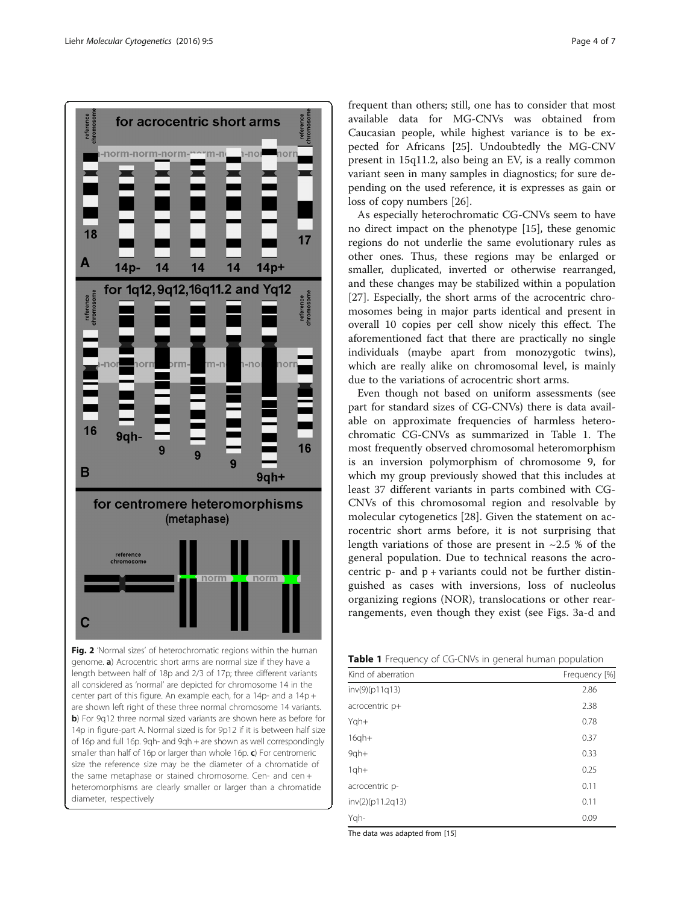<span id="page-3-0"></span>

Fig. 2 'Normal sizes' of heterochromatic regions within the human genome. a) Acrocentric short arms are normal size if they have a length between half of 18p and 2/3 of 17p; three different variants all considered as 'normal' are depicted for chromosome 14 in the center part of this figure. An example each, for a 14p- and a 14p + are shown left right of these three normal chromosome 14 variants. b) For 9q12 three normal sized variants are shown here as before for 14p in figure-part A. Normal sized is for 9p12 if it is between half size of 16p and full 16p. 9qh- and 9qh + are shown as well correspondingly smaller than half of 16p or larger than whole 16p.  $c$ ) For centromeric size the reference size may be the diameter of a chromatide of the same metaphase or stained chromosome. Cen- and cen + heteromorphisms are clearly smaller or larger than a chromatide diameter, respectively

frequent than others; still, one has to consider that most available data for MG-CNVs was obtained from Caucasian people, while highest variance is to be expected for Africans [\[25](#page-6-0)]. Undoubtedly the MG-CNV present in 15q11.2, also being an EV, is a really common variant seen in many samples in diagnostics; for sure depending on the used reference, it is expresses as gain or loss of copy numbers [[26\]](#page-6-0).

As especially heterochromatic CG-CNVs seem to have no direct impact on the phenotype [[15\]](#page-6-0), these genomic regions do not underlie the same evolutionary rules as other ones. Thus, these regions may be enlarged or smaller, duplicated, inverted or otherwise rearranged, and these changes may be stabilized within a population [[27\]](#page-6-0). Especially, the short arms of the acrocentric chromosomes being in major parts identical and present in overall 10 copies per cell show nicely this effect. The aforementioned fact that there are practically no single individuals (maybe apart from monozygotic twins), which are really alike on chromosomal level, is mainly due to the variations of acrocentric short arms.

Even though not based on uniform assessments (see part for standard sizes of CG-CNVs) there is data available on approximate frequencies of harmless heterochromatic CG-CNVs as summarized in Table 1. The most frequently observed chromosomal heteromorphism is an inversion polymorphism of chromosome 9, for which my group previously showed that this includes at least 37 different variants in parts combined with CG-CNVs of this chromosomal region and resolvable by molecular cytogenetics [\[28](#page-6-0)]. Given the statement on acrocentric short arms before, it is not surprising that length variations of those are present in  $\sim$ 2.5 % of the general population. Due to technical reasons the acrocentric  $p$ - and  $p$  + variants could not be further distinguished as cases with inversions, loss of nucleolus organizing regions (NOR), translocations or other rearrangements, even though they exist (see Figs. [3a-d](#page-4-0) and

|  |  |  | Table 1 Frequency of CG-CNVs in general human population |
|--|--|--|----------------------------------------------------------|
|--|--|--|----------------------------------------------------------|

| ╯                  |               |
|--------------------|---------------|
| Kind of aberration | Frequency [%] |
| inv(9)(p11q13)     | 2.86          |
| acrocentric p+     | 2.38          |
| Yqh+               | 0.78          |
| $16qh+$            | 0.37          |
| $9$ qh+            | 0.33          |
| $1qh+$             | 0.25          |
| acrocentric p-     | 0.11          |
| inv(2)(p11.2q13)   | 0.11          |
| Yqh-               | 0.09          |
|                    |               |

The data was adapted from [\[15\]](#page-6-0)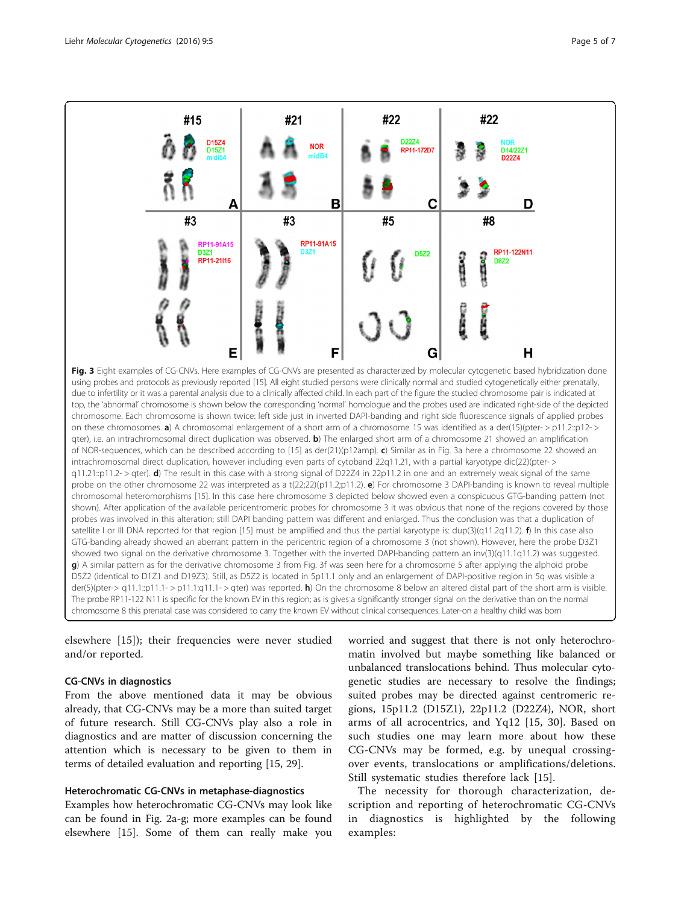<span id="page-4-0"></span>#21 #22 #22 #15 D2274 D15Z4<br>D15Z1 **NOR** D14/22Z1 RP11-172D7 D22Z4 C Α B D #3 #3 #5 #8 RP11-91A15 RP11-91A15 D3Z1 RP11-122N11 D572 **TATION CANADA** RP11-21116 **D8Z2** Е F G н Fig. 3 Eight examples of CG-CNVs. Here examples of CG-CNVs are presented as characterized by molecular cytogenetic based hybridization done using probes and protocols as previously reported [\[15\]](#page-6-0). All eight studied persons were clinically normal and studied cytogenetically either prenatally, due to infertility or it was a parental analysis due to a clinically affected child. In each part of the figure the studied chromosome pair is indicated at top, the 'abnormal' chromosome is shown below the corresponding 'normal' homologue and the probes used are indicated right-side of the depicted chromosome. Each chromosome is shown twice: left side just in inverted DAPI-banding and right side fluorescence signals of applied probes on these chromosomes. a) A chromosomal enlargement of a short arm of a chromosome 15 was identified as a der(15)(pter- > p11.2::p12- > qter), i.e. an intrachromosomal direct duplication was observed. b) The enlarged short arm of a chromosome 21 showed an amplification of NOR-sequences, which can be described according to [\[15\]](#page-6-0) as der(21)(p12amp). c) Similar as in Fig. 3a here a chromosome 22 showed an intrachromosomal direct duplication, however including even parts of cytoband 22q11.21, with a partial karyotype dic(22)(pter- >  $q11.21::p11.2$  > qter). **d**) The result in this case with a strong signal of D22Z4 in 22p11.2 in one and an extremely weak signal of the same probe on the other chromosome 22 was interpreted as a t(22;22)(p11.2;p11.2). e) For chromosome 3 DAPI-banding is known to reveal multiple chromosomal heteromorphisms [\[15](#page-6-0)]. In this case here chromosome 3 depicted below showed even a conspicuous GTG-banding pattern (not shown). After application of the available pericentromeric probes for chromosome 3 it was obvious that none of the regions covered by those probes was involved in this alteration; still DAPI banding pattern was different and enlarged. Thus the conclusion was that a duplication of satellite I or III DNA reported for that region [\[15](#page-6-0)] must be amplified and thus the partial karyotype is:  $\text{dup3}(q11.2q11.2)$ . f) In this case also GTG-banding already showed an aberrant pattern in the pericentric region of a chromosome 3 (not shown). However, here the probe D3Z1 showed two signal on the derivative chromosome 3. Together with the inverted DAPI-banding pattern an inv(3)(q11.1q11.2) was suggested. g) A similar pattern as for the derivative chromosome 3 from Fig. 3f was seen here for a chromosome 5 after applying the alphoid probe D5Z2 (identical to D1Z1 and D19Z3). Still, as D5Z2 is located in 5p11.1 only and an enlargement of DAPI-positive region in 5q was visible a der(5)(pter-> q11.1::p11.1- > p11.1:q11.1- > qter) was reported. h) On the chromosome 8 below an altered distal part of the short arm is visible.

The probe RP11-122 N11 is specific for the known EV in this region; as is gives a significantly stronger signal on the derivative than on the normal chromosome 8 this prenatal case was considered to carry the known EV without clinical consequences. Later-on a healthy child was born

elsewhere [[15\]](#page-6-0)); their frequencies were never studied and/or reported.

# CG-CNVs in diagnostics

From the above mentioned data it may be obvious already, that CG-CNVs may be a more than suited target of future research. Still CG-CNVs play also a role in diagnostics and are matter of discussion concerning the attention which is necessary to be given to them in terms of detailed evaluation and reporting [[15](#page-6-0), [29](#page-6-0)].

#### Heterochromatic CG-CNVs in metaphase-diagnostics

Examples how heterochromatic CG-CNVs may look like can be found in Fig. [2a-g](#page-3-0); more examples can be found elsewhere [\[15\]](#page-6-0). Some of them can really make you

worried and suggest that there is not only heterochromatin involved but maybe something like balanced or unbalanced translocations behind. Thus molecular cytogenetic studies are necessary to resolve the findings; suited probes may be directed against centromeric regions, 15p11.2 (D15Z1), 22p11.2 (D22Z4), NOR, short arms of all acrocentrics, and Yq12 [[15, 30](#page-6-0)]. Based on such studies one may learn more about how these CG-CNVs may be formed, e.g. by unequal crossingover events, translocations or amplifications/deletions. Still systematic studies therefore lack [\[15](#page-6-0)].

The necessity for thorough characterization, description and reporting of heterochromatic CG-CNVs in diagnostics is highlighted by the following examples: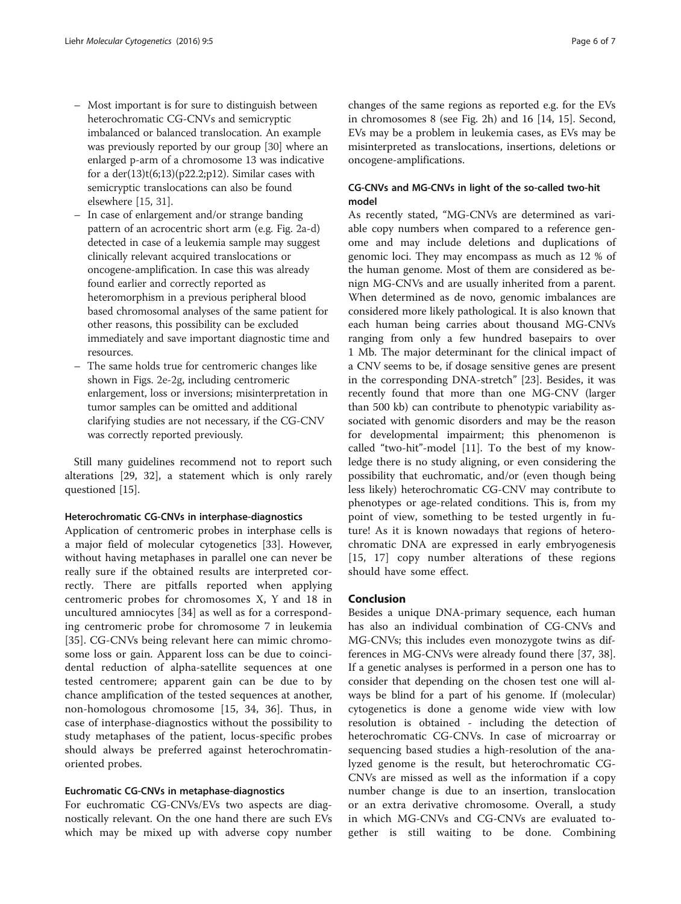- Most important is for sure to distinguish between heterochromatic CG-CNVs and semicryptic imbalanced or balanced translocation. An example was previously reported by our group [\[30\]](#page-6-0) where an enlarged p-arm of a chromosome 13 was indicative for a  $der(13)t(6;13)(p22.2;p12)$ . Similar cases with semicryptic translocations can also be found elsewhere [[15,](#page-6-0) [31](#page-6-0)].
- In case of enlargement and/or strange banding pattern of an acrocentric short arm (e.g. Fig. [2a](#page-3-0)-[d\)](#page-3-0) detected in case of a leukemia sample may suggest clinically relevant acquired translocations or oncogene-amplification. In case this was already found earlier and correctly reported as heteromorphism in a previous peripheral blood based chromosomal analyses of the same patient for other reasons, this possibility can be excluded immediately and save important diagnostic time and resources.
- The same holds true for centromeric changes like shown in Figs. [2e](#page-3-0)-[2g](#page-3-0), including centromeric enlargement, loss or inversions; misinterpretation in tumor samples can be omitted and additional clarifying studies are not necessary, if the CG-CNV was correctly reported previously.

Still many guidelines recommend not to report such alterations [\[29, 32\]](#page-6-0), a statement which is only rarely questioned [\[15](#page-6-0)].

## Heterochromatic CG-CNVs in interphase-diagnostics

Application of centromeric probes in interphase cells is a major field of molecular cytogenetics [[33](#page-6-0)]. However, without having metaphases in parallel one can never be really sure if the obtained results are interpreted correctly. There are pitfalls reported when applying centromeric probes for chromosomes X, Y and 18 in uncultured amniocytes [\[34](#page-6-0)] as well as for a corresponding centromeric probe for chromosome 7 in leukemia [[35\]](#page-6-0). CG-CNVs being relevant here can mimic chromosome loss or gain. Apparent loss can be due to coincidental reduction of alpha-satellite sequences at one tested centromere; apparent gain can be due to by chance amplification of the tested sequences at another, non-homologous chromosome [\[15](#page-6-0), [34](#page-6-0), [36](#page-6-0)]. Thus, in case of interphase-diagnostics without the possibility to study metaphases of the patient, locus-specific probes should always be preferred against heterochromatinoriented probes.

## Euchromatic CG-CNVs in metaphase-diagnostics

For euchromatic CG-CNVs/EVs two aspects are diagnostically relevant. On the one hand there are such EVs which may be mixed up with adverse copy number

changes of the same regions as reported e.g. for the EVs in chromosomes 8 (see Fig. [2h\)](#page-3-0) and 16 [[14, 15](#page-6-0)]. Second, EVs may be a problem in leukemia cases, as EVs may be misinterpreted as translocations, insertions, deletions or oncogene-amplifications.

# CG-CNVs and MG-CNVs in light of the so-called two-hit model

As recently stated, "MG-CNVs are determined as variable copy numbers when compared to a reference genome and may include deletions and duplications of genomic loci. They may encompass as much as 12 % of the human genome. Most of them are considered as benign MG-CNVs and are usually inherited from a parent. When determined as de novo, genomic imbalances are considered more likely pathological. It is also known that each human being carries about thousand MG-CNVs ranging from only a few hundred basepairs to over 1 Mb. The major determinant for the clinical impact of a CNV seems to be, if dosage sensitive genes are present in the corresponding DNA-stretch" [\[23\]](#page-6-0). Besides, it was recently found that more than one MG-CNV (larger than 500 kb) can contribute to phenotypic variability associated with genomic disorders and may be the reason for developmental impairment; this phenomenon is called "two-hit"-model [\[11\]](#page-6-0). To the best of my knowledge there is no study aligning, or even considering the possibility that euchromatic, and/or (even though being less likely) heterochromatic CG-CNV may contribute to phenotypes or age-related conditions. This is, from my point of view, something to be tested urgently in future! As it is known nowadays that regions of heterochromatic DNA are expressed in early embryogenesis [[15, 17](#page-6-0)] copy number alterations of these regions should have some effect.

# Conclusion

Besides a unique DNA-primary sequence, each human has also an individual combination of CG-CNVs and MG-CNVs; this includes even monozygote twins as differences in MG-CNVs were already found there [\[37](#page-6-0), [38](#page-6-0)]. If a genetic analyses is performed in a person one has to consider that depending on the chosen test one will always be blind for a part of his genome. If (molecular) cytogenetics is done a genome wide view with low resolution is obtained - including the detection of heterochromatic CG-CNVs. In case of microarray or sequencing based studies a high-resolution of the analyzed genome is the result, but heterochromatic CG-CNVs are missed as well as the information if a copy number change is due to an insertion, translocation or an extra derivative chromosome. Overall, a study in which MG-CNVs and CG-CNVs are evaluated together is still waiting to be done. Combining